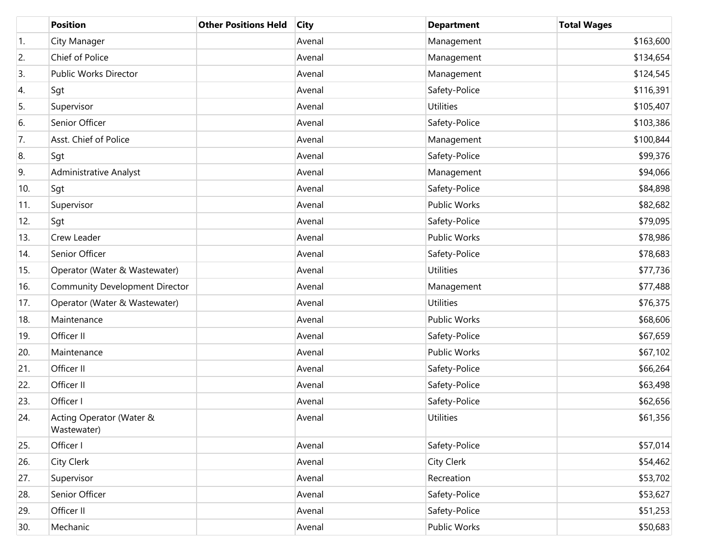|     | <b>Position</b>                         | <b>Other Positions Held</b> | <b>City</b> | <b>Department</b>   | <b>Total Wages</b> |
|-----|-----------------------------------------|-----------------------------|-------------|---------------------|--------------------|
| 1.  | City Manager                            |                             | Avenal      | Management          | \$163,600          |
| 2.  | Chief of Police                         |                             | Avenal      | Management          | \$134,654          |
| 3.  | Public Works Director                   |                             | Avenal      | Management          | \$124,545          |
| 4.  | Sgt                                     |                             | Avenal      | Safety-Police       | \$116,391          |
| 5.  | Supervisor                              |                             | Avenal      | <b>Utilities</b>    | \$105,407          |
| 6.  | Senior Officer                          |                             | Avenal      | Safety-Police       | \$103,386          |
| 7.  | Asst. Chief of Police                   |                             | Avenal      | Management          | \$100,844          |
| 8.  | Sgt                                     |                             | Avenal      | Safety-Police       | \$99,376           |
| 9.  | <b>Administrative Analyst</b>           |                             | Avenal      | Management          | \$94,066           |
| 10. | Sgt                                     |                             | Avenal      | Safety-Police       | \$84,898           |
| 11. | Supervisor                              |                             | Avenal      | <b>Public Works</b> | \$82,682           |
| 12. | Sgt                                     |                             | Avenal      | Safety-Police       | \$79,095           |
| 13. | Crew Leader                             |                             | Avenal      | <b>Public Works</b> | \$78,986           |
| 14. | Senior Officer                          |                             | Avenal      | Safety-Police       | \$78,683           |
| 15. | Operator (Water & Wastewater)           |                             | Avenal      | <b>Utilities</b>    | \$77,736           |
| 16. | <b>Community Development Director</b>   |                             | Avenal      | Management          | \$77,488           |
| 17. | Operator (Water & Wastewater)           |                             | Avenal      | <b>Utilities</b>    | \$76,375           |
| 18. | Maintenance                             |                             | Avenal      | <b>Public Works</b> | \$68,606           |
| 19. | Officer II                              |                             | Avenal      | Safety-Police       | \$67,659           |
| 20. | Maintenance                             |                             | Avenal      | <b>Public Works</b> | \$67,102           |
| 21. | Officer II                              |                             | Avenal      | Safety-Police       | \$66,264           |
| 22. | Officer II                              |                             | Avenal      | Safety-Police       | \$63,498           |
| 23. | Officer I                               |                             | Avenal      | Safety-Police       | \$62,656           |
| 24. | Acting Operator (Water &<br>Wastewater) |                             | Avenal      | <b>Utilities</b>    | \$61,356           |
| 25. | Officer I                               |                             | Avenal      | Safety-Police       | \$57,014           |
| 26. | City Clerk                              |                             | Avenal      | City Clerk          | \$54,462           |
| 27. | Supervisor                              |                             | Avenal      | Recreation          | \$53,702           |
| 28. | Senior Officer                          |                             | Avenal      | Safety-Police       | \$53,627           |
| 29. | Officer II                              |                             | Avenal      | Safety-Police       | \$51,253           |
| 30. | Mechanic                                |                             | Avenal      | Public Works        | \$50,683           |